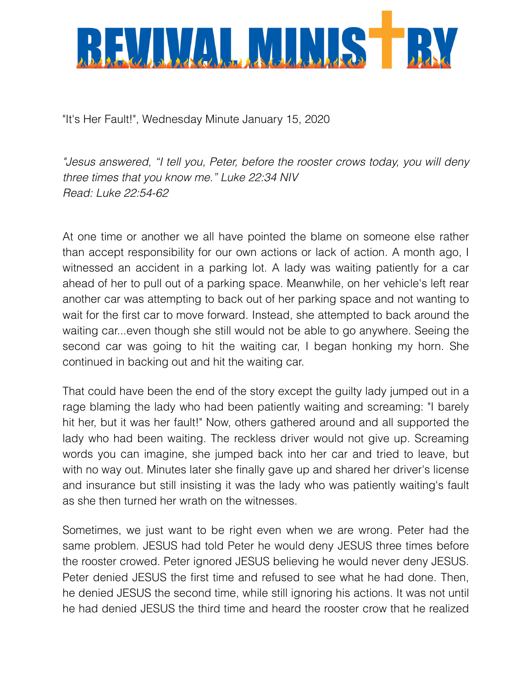

"It's Her Fault!", Wednesday Minute January 15, 2020

*"Jesus answered, "I tell you, Peter, before the rooster crows today, you will deny three times that you know me." Luke 22:34 NIV Read: Luke 22:54-62* 

At one time or another we all have pointed the blame on someone else rather than accept responsibility for our own actions or lack of action. A month ago, I witnessed an accident in a parking lot. A lady was waiting patiently for a car ahead of her to pull out of a parking space. Meanwhile, on her vehicle's left rear another car was attempting to back out of her parking space and not wanting to wait for the first car to move forward. Instead, she attempted to back around the waiting car...even though she still would not be able to go anywhere. Seeing the second car was going to hit the waiting car, I began honking my horn. She continued in backing out and hit the waiting car.

That could have been the end of the story except the guilty lady jumped out in a rage blaming the lady who had been patiently waiting and screaming: "I barely hit her, but it was her fault!" Now, others gathered around and all supported the lady who had been waiting. The reckless driver would not give up. Screaming words you can imagine, she jumped back into her car and tried to leave, but with no way out. Minutes later she finally gave up and shared her driver's license and insurance but still insisting it was the lady who was patiently waiting's fault as she then turned her wrath on the witnesses.

Sometimes, we just want to be right even when we are wrong. Peter had the same problem. JESUS had told Peter he would deny JESUS three times before the rooster crowed. Peter ignored JESUS believing he would never deny JESUS. Peter denied JESUS the first time and refused to see what he had done. Then, he denied JESUS the second time, while still ignoring his actions. It was not until he had denied JESUS the third time and heard the rooster crow that he realized